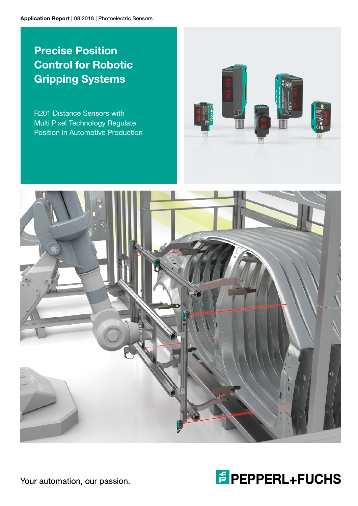# Precise Position Control for Robotic Gripping Systems

R201 Distance Sensors with Multi Pixel Technology Regulate Position in Automotive Production







Your automation, our passion.